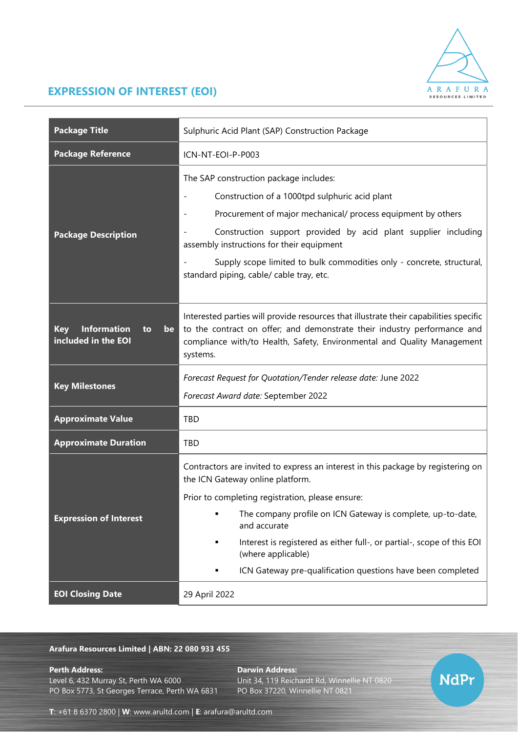

## **EXPRESSION OF INTEREST (EOI)**

| <b>Package Title</b>                                                | Sulphuric Acid Plant (SAP) Construction Package                                                                                                                                                                                                                                                                                                                                                                        |
|---------------------------------------------------------------------|------------------------------------------------------------------------------------------------------------------------------------------------------------------------------------------------------------------------------------------------------------------------------------------------------------------------------------------------------------------------------------------------------------------------|
| <b>Package Reference</b>                                            | ICN-NT-EOI-P-P003                                                                                                                                                                                                                                                                                                                                                                                                      |
| <b>Package Description</b>                                          | The SAP construction package includes:<br>Construction of a 1000tpd sulphuric acid plant<br>Procurement of major mechanical/ process equipment by others<br>Construction support provided by acid plant supplier including<br>assembly instructions for their equipment<br>Supply scope limited to bulk commodities only - concrete, structural,<br>standard piping, cable/ cable tray, etc.                           |
| <b>Information</b><br><b>Key</b><br>to<br>be<br>included in the EOI | Interested parties will provide resources that illustrate their capabilities specific<br>to the contract on offer; and demonstrate their industry performance and<br>compliance with/to Health, Safety, Environmental and Quality Management<br>systems.                                                                                                                                                               |
| <b>Key Milestones</b>                                               | Forecast Request for Quotation/Tender release date: June 2022<br>Forecast Award date: September 2022                                                                                                                                                                                                                                                                                                                   |
| <b>Approximate Value</b>                                            | TBD                                                                                                                                                                                                                                                                                                                                                                                                                    |
| <b>Approximate Duration</b>                                         | <b>TBD</b>                                                                                                                                                                                                                                                                                                                                                                                                             |
| <b>Expression of Interest</b>                                       | Contractors are invited to express an interest in this package by registering on<br>the ICN Gateway online platform.<br>Prior to completing registration, please ensure:<br>The company profile on ICN Gateway is complete, up-to-date,<br>and accurate<br>Interest is registered as either full-, or partial-, scope of this EOI<br>(where applicable)<br>ICN Gateway pre-qualification questions have been completed |
| <b>EOI Closing Date</b>                                             | 29 April 2022                                                                                                                                                                                                                                                                                                                                                                                                          |

## **Arafura Resources Limited | ABN: 22 080 933 455**

**Perth Address: Darwin Address:**

Level 6, 432 Murray St, Perth WA 6000 Unit 34, 119 Reichardt Rd, Winnellie NT 0820<br>PO Box 5773, St Georges Terrace, Perth WA 6831 PO Box 37220, Winnellie NT 0821 PO Box 5773, St Georges Terrace, Perth WA 6831



**T**: +61 8 6370 2800 | **W**: [www.arultd.com](http://www.arultd.com/) | **E**: [arafura@arultd.com](mailto:arafura@arultd.com)